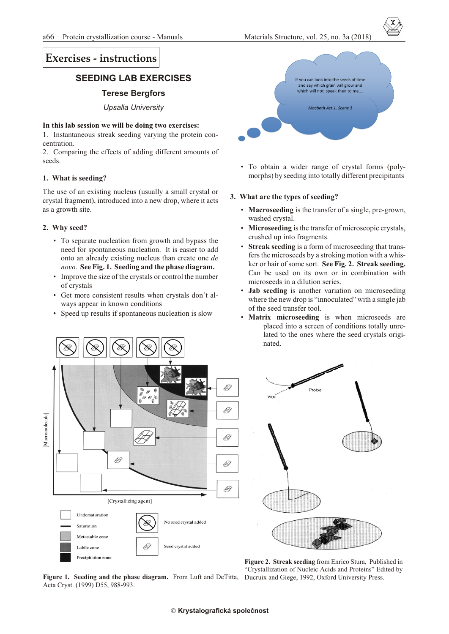# **Ex er cises - instructions**

# **SEEDING LAB EXERCISES**

## **Terese Bergfors**

*Upsalla Uni ver sity*

### In this lab session we will be doing two exercises:

1. Instantaneous streak seeding varying the protein concentration.

2. Comparing the effects of adding different amounts of seeds.

## 1. What is seeding?

The use of an existing nucleus (usually a small crystal or crystal fragment), introduced into a new drop, where it acts as a growth site.

#### **2. Why seed?**

Macromolecule

- To separate nucleation from growth and bypass the need for spontaneous nucleation. It is easier to add onto an already existing nucleus than create one *de novo*. See Fig. 1. Seeding and the phase diagram.
- Improve the size of the crystals or control the number of crystals
- Get more consistent results when crystals don't always appear in known conditions
- Speed up results if spontaneous nucleation is slow

 $\frac{1}{\beta}$  0 ® ®

ÞÐ

Undersaturation

Saturation Metastable zone

Labile zone

Precipitation zone

[Crystallizing agent]



• To obtain a wider range of crystal forms (polymorphs) by seeding into totally different precipitants

## **3. What are the types of seeding?**

- Macroseeding is the transfer of a single, pre-grown, washed crystal.
- **Microseeding** is the transfer of microscopic crystals, crushed up into fragments.
- **Streak seeding** is a form of microseeding that transfers the microseeds by a stroking motion with a whisker or hair of some sort. **See Fig. 2. Streak seeding.** Can be used on its own or in combination with microseeds in a dilution series.
- Jab seeding is another variation on microseeding where the new drop is "innoculated" with a single jab of the seed trans fer tool.
- Matrix microseeding is when microseeds are placed into a screen of conditions totally unrelated to the ones where the seed crystals originated.



Figure 1. Seeding and the phase diagram. From Luft and DeTitta, Ducruix and Giege, 1992, Oxford University Press. Acta Cryst. (1999) D55, 988-993.

B

No seed crystal added

Seed crystal added

Figure 2. Streak seeding from Enrico Stura, Published in "Crystallization of Nucleic Acids and Proteins" Edited by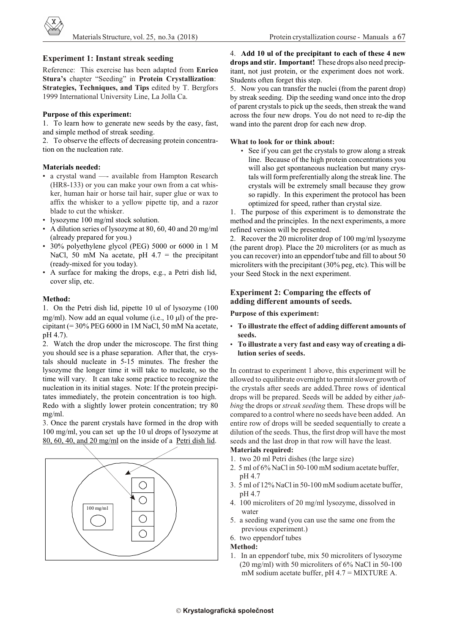

## **Experiment 1: Instant streak seeding**

Reference: This exercise has been adapted from **Enrico** Stura's chapter "Seeding" in **Protein Crystallization**: **Strategies, Techniques, and Tips** edited by T. Bergfors 1999 International University Line, La Jolla Ca.

## **Purpose of this experiment:**

1. To learn how to generate new seeds by the easy, fast, and simple method of streak seeding.

2. To observe the effects of decreasing protein concentration on the nucleation rate.

## **Ma te ri als needed:**

- a crystal wand —- available from Hampton Research (HR8-133) or you can make your own from a cat whis ker, human hair or horse tail hair, super glue or wax to affix the whisker to a yellow pipette tip, and a razor blade to cut the whisker.
- lysozyme 100 mg/ml stock solution.
- A dilution series of lysozyme at 80, 60, 40 and 20 mg/ml (already prepared for you.)
- 30% polyethylene glycol (PEG) 5000 or 6000 in 1 M NaCl, 50 mM Na acetate, pH  $4.7$  = the precipitant (ready-mixed for you today).
- A surface for making the drops, e.g., a Petri dish lid, cover slip, etc.

### **Method:**

1. On the Petri dish lid, pipette 10 ul of lysozyme (100 mg/ml). Now add an equal volume (i.e.,  $10 \text{ } 1$ ) of the precipitant (=  $30\%$  PEG 6000 in 1M NaCl, 50 mM Na acetate, pH 4.7).

2. Watch the drop under the microscope. The first thing you should see is a phase separation. After that, the crystals should nucleate in 5-15 minutes. The fresher the lysozyme the longer time it will take to nucleate, so the time will vary. It can take some practice to recognize the nucleation in its initial stages. Note: If the protein precipitates immediately, the protein concentration is too high. Redo with a slightly lower protein concentration; try 80 mg/ml.

3. Once the parent crystals have formed in the drop with 100 mg/ml, you can set up the 10 ul drops of lysozyme at 80, 60, 40, and 20 mg/ml on the inside of a Petri dish lid.



4. Add 10 ul of the precipitant to each of these 4 new **drops and stir. Important!** These drops also need precipitant, not just protein, or the experiment does not work. Students often forget this step.

5. Now you can transfer the nuclei (from the parent drop) by streak seeding. Dip the seeding wand once into the drop of parent crystals to pick up the seeds, then streak the wand across the four new drops. You do not need to re-dip the wand into the parent drop for each new drop.

### **What to look for or think about:**

• See if you can get the crystals to grow along a streak line. Because of the high protein concentrations you will also get spontaneous nucleation but many crystals will form preferentially along the streak line. The crystals will be extremely small because they grow so rapidly. In this experiment the protocol has been optimized for speed, rather than crystal size.

1. The purpose of this experiment is to demonstrate the method and the principles. In the next experiments, a more refined version will be presented.

2. Recover the 20 microliter drop of 100 mg/ml lysozyme (the parent drop). Place the  $20$  microliters (or as much as you can recover) into an eppendorf tube and fill to about 50 microliters with the precipitant  $(30\%$  peg, etc). This will be your Seed Stock in the next experiment.

## **Experiment 2: Comparing the effects of** adding different amounts of seeds.

## **Purpose of this experiment:**

- To illustrate the effect of adding different amounts of **seeds.**
- To illustrate a very fast and easy way of creating a di**lu tion se ries of seeds.**

In contrast to experiment 1 above, this experiment will be allowed to equilibrate overnight to permit slower growth of the crystals after seeds are added. Three rows of identical drops will be prepared. Seeds will be added by either *jabbing* the drops or *streak seeding* them. These drops will be compared to a control where no seeds have been added. An entire row of drops will be seeded sequentially to create a dilution of the seeds. Thus, the first drop will have the most seeds and the last drop in that row will have the least. **Materials required:** 

- 1. two 20 ml Petri dishes (the large size)
- 2. 5 ml of  $6\%$  NaCl in 50-100 mM sodium acetate buffer, pH 4.7
- 3. 5 ml of 12% NaCl in 50-100 mM sodium acetate buffer, pH 4.7
- 4. 100 microliters of 20 mg/ml lysozyme, dissolved in water
- 5. a seeding wand (you can use the same one from the previous experiment.)
- 6. two eppendorf tubes

### **Method:**

1. In an eppendorf tube, mix 50 microliters of lysozyme (20 mg/ml) with 50 microliters of 6% NaCl in 50-100 mM sodium acetate buffer, pH  $4.7 =$  MIXTURE A.